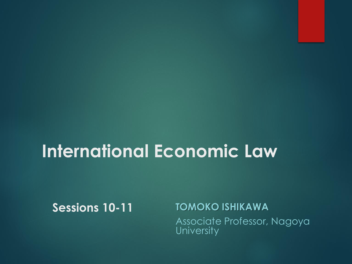# **International Economic Law**

**Sessions 10-11**

**TOMOKO ISHIKAWA** Associate Professor, Nagoya **University**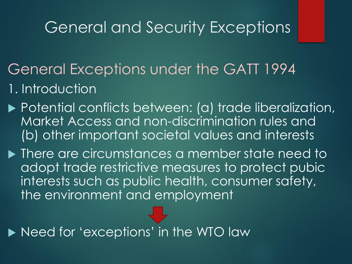- General Exceptions under the GATT 1994 1. Introduction
- ▶ Potential conflicts between: (a) trade liberalization, Market Access and non-discrimination rules and (b) other important societal values and interests
- $\blacktriangleright$  There are circumstances a member state need to adopt trade restrictive measures to protect pubic interests such as public health, consumer safety, the environment and employment

Need for 'exceptions' in the WTO law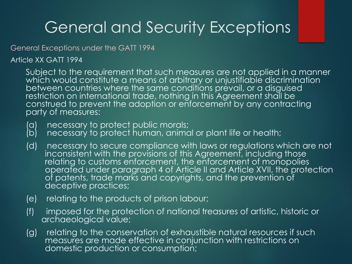General Exceptions under the GATT 1994

Article XX GATT 1994

Subject to the requirement that such measures are not applied in a manner which would constitute a means of arbitrary or unjustifiable discrimination between countries where the same conditions prevail, or a disguised restriction on international trade, nothing in this Agreement shall be construed to prevent the adoption or enforcement by any contracting party of measures:

- (a) necessary to protect public morals;<br>(b) necessary to protect human, animc
- necessary to protect human, animal or plant life or health;
- (d) necessary to secure compliance with laws or regulations which are not inconsistent with the provisions of this Agreement, including those relating to customs enforcement, the enforcement of monopolies operated under paragraph 4 of Article II and Article XVII, the protection of patents, trade marks and copyrights, and the prevention of deceptive practices;
- (e) relating to the products of prison labour;
- (f) imposed for the protection of national treasures of artistic, historic or archaeological value;
- (g) relating to the conservation of exhaustible natural resources if such measures are made effective in conjunction with restrictions on domestic production or consumption;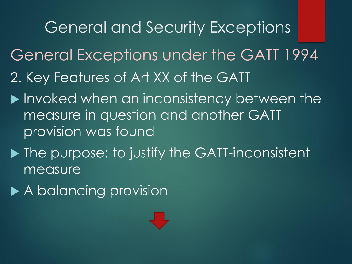General and Security Exceptions General Exceptions under the GATT 1994 2. Key Features of Art XX of the GATT

- **Invoked when an inconsistency between the** measure in question and another GATT provision was found
- **The purpose: to justify the GATT-inconsistent** measure
- ▶ A balancing provision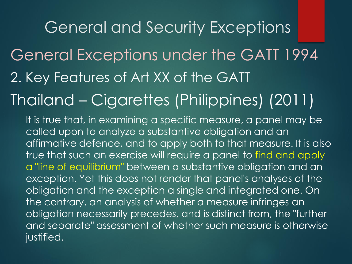General Exceptions under the GATT 1994 2. Key Features of Art XX of the GATT

# Thailand – Cigarettes (Philippines) (2011)

It is true that, in examining a specific measure, a panel may be called upon to analyze a substantive obligation and an affirmative defence, and to apply both to that measure. It is also true that such an exercise will require a panel to find and apply a "line of equilibrium" between a substantive obligation and an exception. Yet this does not render that panel's analyses of the obligation and the exception a single and integrated one. On the contrary, an analysis of whether a measure infringes an obligation necessarily precedes, and is distinct from, the "further and separate" assessment of whether such measure is otherwise justified.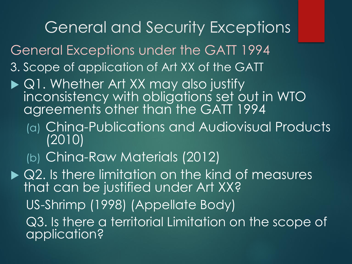General Exceptions under the GATT 1994

- 3. Scope of application of Art XX of the GATT
- ▶ Q1. Whether Art XX may also justify inconsistency with obligations set out in WTO agreements other than the GATT 1994
	- (a) China-Publications and Audiovisual Products (2010)
	- (b) China-Raw Materials (2012)

▶ Q2. Is there limitation on the kind of measures that can be justified under Art XX? US-Shrimp (1998) (Appellate Body) Q3. Is there a territorial Limitation on the scope of application?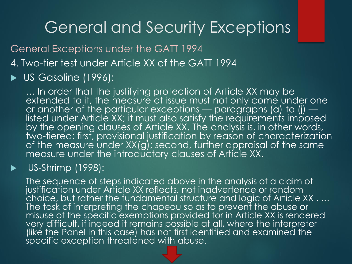General Exceptions under the GATT 1994

4. Two-tier test under Article XX of the GATT 1994

#### US-Gasoline (1996):

… In order that the justifying protection of Article XX may be extended to it, the measure at issue must not only come under one or another of the particular exceptions — paragraphs (a) to (j) listed under Article XX; it must also satisfy the requirements imposed by the opening clauses of Article XX. The analysis is, in other words, two-tiered: first, provisional justification by reason of characterization of the measure under XX(g); second, further appraisal of the same measure under the introductory clauses of Article XX.

#### US-Shrimp (1998):

The sequence of steps indicated above in the analysis of a claim of justification under Article XX reflects, not inadvertence or random choice, but rather the fundamental structure and logic of Article XX . … The task of interpreting the chapeau so as to prevent the abuse or misuse of the specific exemptions provided for in Article XX is rendered very difficult, if indeed it remains possible at all, where the interpreter (like the Panel in this case) has not first identified and examined the specific exception threatened with abuse.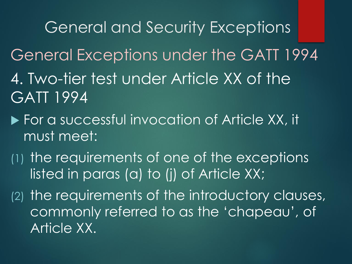General and Security Exceptions General Exceptions under the GATT 1994 4. Two-tier test under Article XX of the GATT 1994

- **For a successful invocation of Article XX, it** must meet:
- (1) the requirements of one of the exceptions listed in paras (a) to (j) of Article XX;

(2) the requirements of the introductory clauses, commonly referred to as the 'chapeau', of Article XX.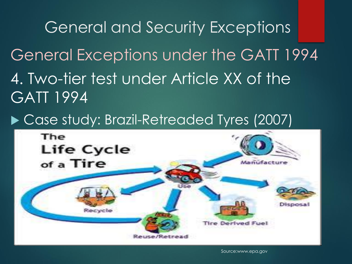General and Security Exceptions General Exceptions under the GATT 1994 4. Two-tier test under Article XX of the GATT 1994

▶ Case study: Brazil-Retreaded Tyres (2007)



Source:www.epa.gov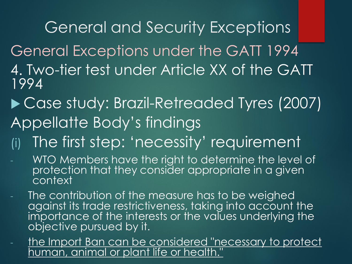General Exceptions under the GATT 1994 4. Two-tier test under Article XX of the GATT 1994

- ▶ Case study: Brazil-Retreaded Tyres (2007) Appellatte Body's findings
- The first step: 'necessity' requirement
- WTO Members have the right to determine the level of protection that they consider appropriate in a given context
- The contribution of the measure has to be weighed against its trade restrictiveness, taking into account the importance of the interests or the values underlying the objective pursued by it.
- the Import Ban can be considered "necessary to protect uman, animal or plant life or health."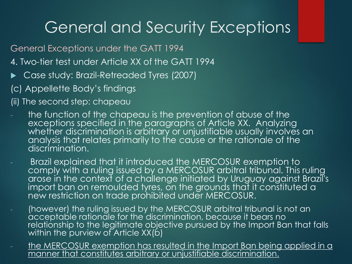General Exceptions under the GATT 1994

- 4. Two-tier test under Article XX of the GATT 1994
- Case study: Brazil-Retreaded Tyres (2007)

(c) Appellette Body's findings

(ii) The second step: chapeau

- the function of the chapeau is the prevention of abuse of the exceptions specified in the paragraphs of Article XX. Analyzing whether discrimination is arbitrary or unjustifiable usually involves an analysis that relates primarily to the cause or the rationale of the discrimination.
- Brazil explained that it introduced the MERCOSUR exemption to comply with a ruling issued by a MERCOSUR arbitral tribunal. This ruling arose in the context of a challenge initiated by Uruguay against Brazil's import ban on remoulded tyres, on the grounds that it constituted a new restriction on trade prohibited under MERCOSUR.
- (however) the ruling issued by the MERCOSUR arbitral tribunal is not an acceptable rationale for the discrimination, because it bears no relationship to the legitimate objective pursued by the Import Ban that falls within the purview of Article XX(b)
- the MERCOSUR exemption has resulted in the Import Ban being applied in a manner that constitutes arbitrary or unjustifiable discrimination.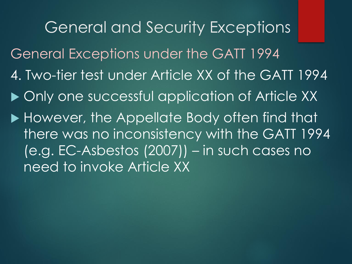General and Security Exceptions General Exceptions under the GATT 1994 4. Two-tier test under Article XX of the GATT 1994 ▶ Only one successful application of Article XX However, the Appellate Body often find that there was no inconsistency with the GATT 1994 (e.g. EC-Asbestos (2007)) – in such cases no need to invoke Article XX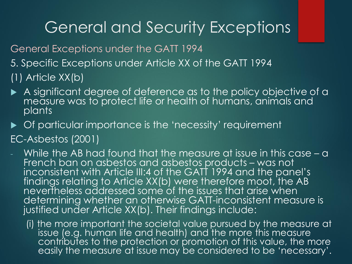General Exceptions under the GATT 1994 5. Specific Exceptions under Article XX of the GATT 1994 (1) Article XX(b)

- A significant degree of deference as to the policy objective of a measure was to protect life or health of humans, animals and plants
- ▶ Of particular importance is the 'necessity' requirement
- EC-Asbestos (2001)
- While the AB had found that the measure at issue in this case a French ban on asbestos and asbestos products – was not inconsistent with Article III:4 of the GATT 1994 and the panel's findings relating to Article XX(b) were therefore moot, the AB nevertheless addressed some of the issues that arise when determining whether an otherwise GATT-inconsistent measure is justified under Article XX(b). Their findings include:
	- (i) the more important the societal value pursued by the measure at issue (e.g. human life and health) and the more this measure contributes to the protection or promotion of this value, the more easily the measure at issue may be considered to be 'necessary'.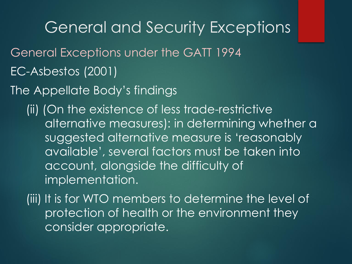- General Exceptions under the GATT 1994
- EC-Asbestos (2001)
- The Appellate Body's findings

(ii) (On the existence of less trade-restrictive alternative measures): in determining whether a suggested alternative measure is 'reasonably available', several factors must be taken into account, alongside the difficulty of implementation.

(iii) It is for WTO members to determine the level of protection of health or the environment they consider appropriate.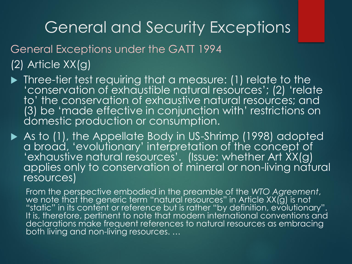General Exceptions under the GATT 1994

#### (2) Article XX(g)

 Three-tier test requiring that a measure: (1) relate to the 'conservation of exhaustible natural resources'; (2) 'relate to' the conservation of exhaustive natural resources; and (3) be 'made effective in conjunction with' restrictions on domestic production or consumption.

As to (1), the Appellate Body in US-Shrimp (1998) adopted a broad, 'evolutionary' interpretation of the concept of 'exhaustive natural resources'. (Issue: whether Art XX(g) applies only to conservation of mineral or non-living natural resources)

From the perspective embodied in the preamble of the *WTO Agreement*, we note that the generic term "natural resources" in Article XX(g) is not "static" in its content or reference but is rather "by definition, evolutionary". It is, therefore, pertinent to note that modern international conventions and declarations make frequent references to natural resources as embracing both living and non-living resources. …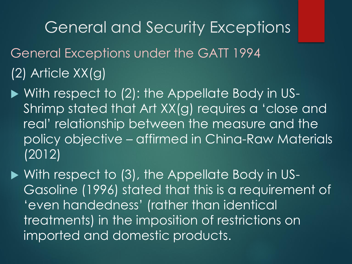- General Exceptions under the GATT 1994 (2) Article XX(g)
- With respect to (2): the Appellate Body in US-Shrimp stated that Art XX(g) requires a 'close and real' relationship between the measure and the policy objective – affirmed in China-Raw Materials (2012)

▶ With respect to (3), the Appellate Body in US-Gasoline (1996) stated that this is a requirement of 'even handedness' (rather than identical treatments) in the imposition of restrictions on imported and domestic products.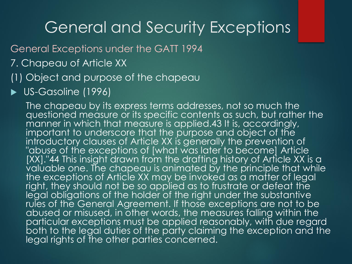General Exceptions under the GATT 1994

7. Chapeau of Article XX

#### (1) Object and purpose of the chapeau

US-Gasoline (1996)

The chapeau by its express terms addresses, not so much the questioned measure or its specific contents as such, but rather the manner in which that measure is applied.43 It is, accordingly, important to underscore that the purpose and object of the introductory clauses of Article XX is generally the prevention of "abuse of the exceptions of [what was later to become] Article [XX]."44 This insight drawn from the drafting history of Article XX is a  $\bar{v}$ aluable one. The chapeau is animated by the principle that while the exceptions of Article XX may be invoked as a matter of legal right, they should not be so applied as to frustrate or defeat the legal obligations of the holder of the right under the substantive rules of the General Agreement. If those exceptions are not to be abused or misused, in other words, the measures falling within the particular exceptions must be applied reasonably, with due regard both to the legal duties of the party claiming the exception and the legal rights of the other parties concerned.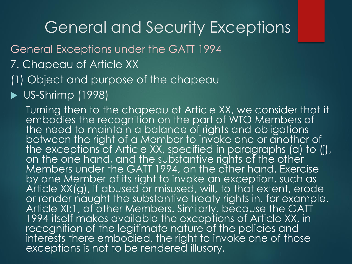General Exceptions under the GATT 1994

- 7. Chapeau of Article XX
- (1) Object and purpose of the chapeau
- $\blacktriangleright$  US-Shrimp (1998)

Turning then to the chapeau of Article XX, we consider that it embodies the recognition on the part of WTO Members of the need to maintain a balance of rights and obligations between the right of a Member to invoke one or another of the exceptions of Article XX, specified in paragraphs (a) to (j), on the one hand, and the substantive rights of the other Members under the GATT 1994, on the other hand. Exercise by one Member of its right to invoke an exception, such as Article XX(g), if abused or misused, will, to that extent, erode or render naught the substantive treaty rights in, for example, Article XI:1, of other Members. Similarly, because the GATT 1994 itself makes available the exceptions of Article XX, in recognition of the legitimate nature of the policies and interests there embodied, the right to invoke one of those exceptions is not to be rendered illusory.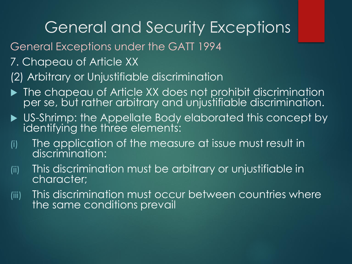- General Exceptions under the GATT 1994
- 7. Chapeau of Article XX
- (2) Arbitrary or Unjustifiable discrimination
- ▶ The chapeau of Article XX does not prohibit discrimination per se, but rather arbitrary and unjustifiable discrimination.
- **DIS-Shrimp: the Appellate Body elaborated this concept by** identifying the three elements:
- (i) The application of the measure at issue must result in discrimination:
- (ii) This discrimination must be arbitrary or unjustifiable in character;
- (iii) This discrimination must occur between countries where the same conditions prevail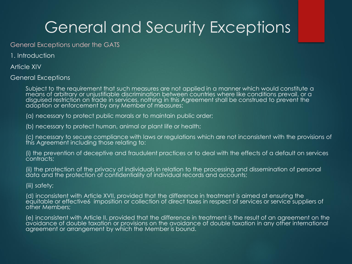General Exceptions under the GATS

1. Introduction

Article XIV

General Exceptions

Subject to the requirement that such measures are not applied in a manner which would constitute a means of arbitrary or unjustifiable discrimination between countries where like conditions prevail, or a disguised restriction on trade in services, nothing in this Agreement shall be construed to prevent the adoption or enforcement by any Member of measures:

(a) necessary to protect public morals or to maintain public order;

(b) necessary to protect human, animal or plant life or health;

(c) necessary to secure compliance with laws or regulations which are not inconsistent with the provisions of this Agreement including those relating to:

(i) the prevention of deceptive and fraudulent practices or to deal with the effects of a default on services contracts;

(ii) the protection of the privacy of individuals in relation to the processing and dissemination of personal data and the protection of confidentiality of individual records and accounts;

(iii) safety;

(d) inconsistent with Article XVII, provided that the difference in treatment is aimed at ensuring the equitable or effective6 imposition or collection of direct taxes in respect of services or service suppliers of other Members;

(e) inconsistent with Article II, provided that the difference in treatment is the result of an agreement on the avoidance of double taxation or provisions on the avoidance of double taxation in any other international agreement or arrangement by which the Member is bound.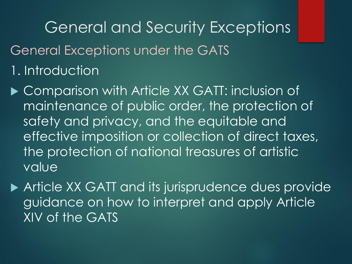- General Exceptions under the GATS
- 1. Introduction
- ▶ Comparison with Article XX GATT: inclusion of maintenance of public order, the protection of safety and privacy, and the equitable and effective imposition or collection of direct taxes, the protection of national treasures of artistic value
- ▶ Article XX GATT and its jurisprudence dues provide guidance on how to interpret and apply Article XIV of the GATS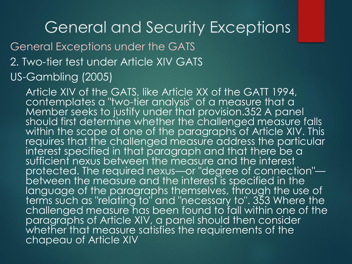#### General Exceptions under the GATS 2. Two-tier test under Article XIV GATS US-Gambling (2005)

Article XIV of the GATS, like Article XX of the GATT 1994, contemplates a "two-tier analysis" of a measure that a Member seeks to justify under that provision.352 A panel should first determine whether the challenged measure falls within the scope of one of the paragraphs of Article XIV. This requires that the challenged measure address the particular interest specified in that paragraph and that there be a sufficient nexus between the measure and the interest protected. The required nexus—or "degree of connection" between the measure and the interest is specified in the language of the paragraphs themselves, through the use of terms such as "relating to" and "necessary to". 353 Where the challenged measure has been found to fall within one of the paragraphs of Article XIV, a panel should then consider whether that measure satisfies the requirements of the chapeau of Article XIV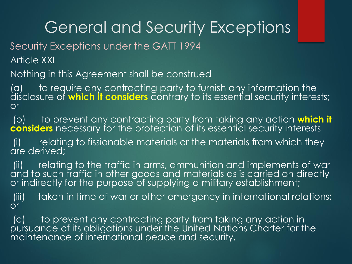Security Exceptions under the GATT 1994

Article XXI

Nothing in this Agreement shall be construed

(a) to require any contracting party to furnish any information the disclosure of **which it considers** contrary to its essential security interests; or

(b) to prevent any contracting party from taking any action **which it considers** necessary for the protection of its essential security interests

(i) relating to fissionable materials or the materials from which they are derived;

(ii) relating to the traffic in arms, ammunition and implements of war and to such traffic in other goods and materials as is carried on directly or indirectly for the purpose of supplying a military establishment;

(iii) taken in time of war or other emergency in international relations; or

(c) to prevent any contracting party from taking any action in pursuance of its obligations under the United Nations Charter for the maintenance of international peace and security.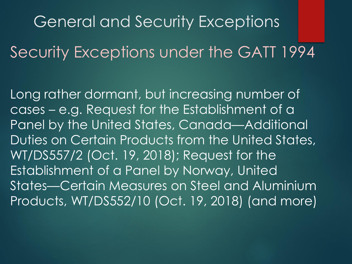General and Security Exceptions Security Exceptions under the GATT 1994

Long rather dormant, but increasing number of cases – e.g. Request for the Establishment of a Panel by the United States, Canada—Additional Duties on Certain Products from the United States, WT/DS557/2 (Oct. 19, 2018); Request for the Establishment of a Panel by Norway, United States—Certain Measures on Steel and Aluminium Products, WT/DS552/10 (Oct. 19, 2018) (and more)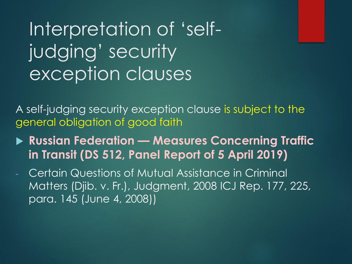# Interpretation of 'selfjudging' security exception clauses

A self-judging security exception clause is subject to the general obligation of good faith

 **Russian Federation — Measures Concerning Traffic in Transit (DS 512, Panel Report of 5 April 2019)**

Certain Questions of Mutual Assistance in Criminal Matters (Djib. v. Fr.), Judgment, 2008 ICJ Rep. 177, 225, para. 145 (June 4, 2008))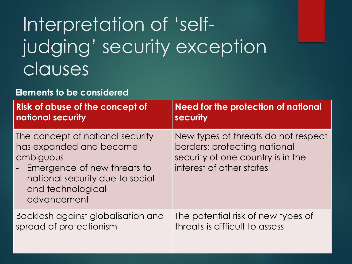# Interpretation of 'selfjudging' security exception clauses

#### **Elements to be considered**

| <b>Risk of abuse of the concept of</b>                                                                                                                                                                | Need for the protection of national                                                                                                  |
|-------------------------------------------------------------------------------------------------------------------------------------------------------------------------------------------------------|--------------------------------------------------------------------------------------------------------------------------------------|
| national security                                                                                                                                                                                     | security                                                                                                                             |
| The concept of national security<br>has expanded and become<br>ambiguous<br>Emergence of new threats to<br>$\omega_{\rm{eff}}$<br>national security due to social<br>and technological<br>advancement | New types of threats do not respect<br>borders: protecting national<br>security of one country is in the<br>interest of other states |
| Backlash against globalisation and                                                                                                                                                                    | The potential risk of new types of                                                                                                   |
| spread of protectionism                                                                                                                                                                               | threats is difficult to assess                                                                                                       |